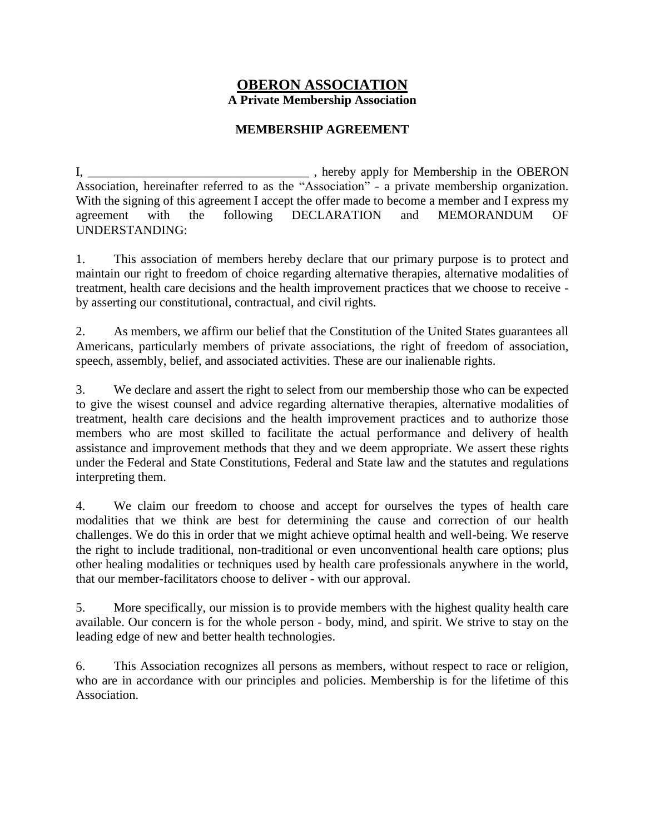## **OBERON ASSOCIATION A Private Membership Association**

## **MEMBERSHIP AGREEMENT**

I, \_\_\_\_\_\_\_\_\_\_\_\_\_\_\_\_\_\_\_\_\_\_\_\_\_\_\_\_\_\_\_\_\_\_\_ , hereby apply for Membership in the OBERON Association, hereinafter referred to as the "Association" - a private membership organization. With the signing of this agreement I accept the offer made to become a member and I express my agreement with the following DECLARATION and MEMORANDUM OF UNDERSTANDING:

1. This association of members hereby declare that our primary purpose is to protect and maintain our right to freedom of choice regarding alternative therapies, alternative modalities of treatment, health care decisions and the health improvement practices that we choose to receive by asserting our constitutional, contractual, and civil rights.

2. As members, we affirm our belief that the Constitution of the United States guarantees all Americans, particularly members of private associations, the right of freedom of association, speech, assembly, belief, and associated activities. These are our inalienable rights.

3. We declare and assert the right to select from our membership those who can be expected to give the wisest counsel and advice regarding alternative therapies, alternative modalities of treatment, health care decisions and the health improvement practices and to authorize those members who are most skilled to facilitate the actual performance and delivery of health assistance and improvement methods that they and we deem appropriate. We assert these rights under the Federal and State Constitutions, Federal and State law and the statutes and regulations interpreting them.

4. We claim our freedom to choose and accept for ourselves the types of health care modalities that we think are best for determining the cause and correction of our health challenges. We do this in order that we might achieve optimal health and well-being. We reserve the right to include traditional, non-traditional or even unconventional health care options; plus other healing modalities or techniques used by health care professionals anywhere in the world, that our member-facilitators choose to deliver - with our approval.

5. More specifically, our mission is to provide members with the highest quality health care available. Our concern is for the whole person - body, mind, and spirit. We strive to stay on the leading edge of new and better health technologies.

6. This Association recognizes all persons as members, without respect to race or religion, who are in accordance with our principles and policies. Membership is for the lifetime of this Association.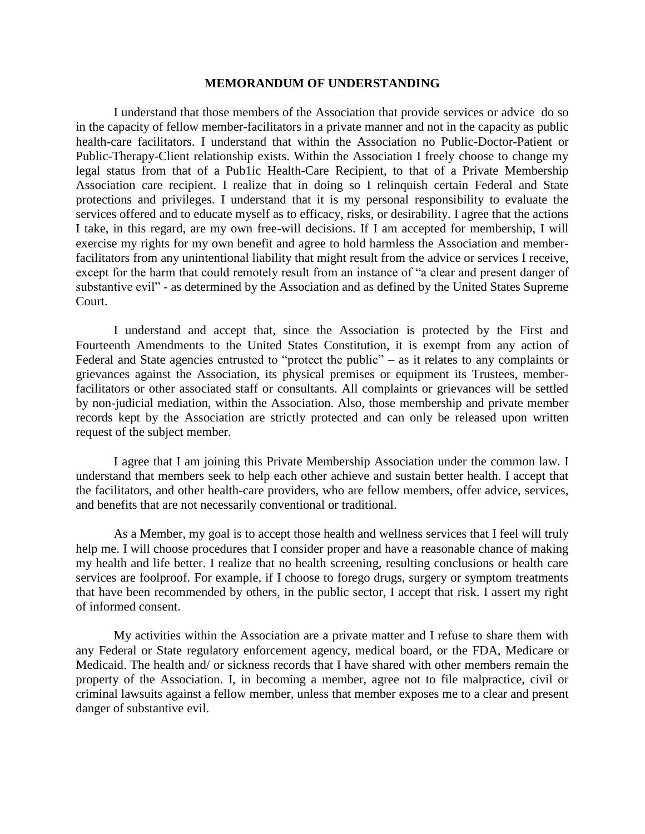## **MEMORANDUM OF UNDERSTANDING**

I understand that those members of the Association that provide services or advice do so in the capacity of fellow member-facilitators in a private manner and not in the capacity as public health-care facilitators. I understand that within the Association no Public-Doctor-Patient or Public-Therapy-Client relationship exists. Within the Association I freely choose to change my legal status from that of a Pub1ic Health-Care Recipient, to that of a Private Membership Association care recipient. I realize that in doing so I relinquish certain Federal and State protections and privileges. I understand that it is my personal responsibility to evaluate the services offered and to educate myself as to efficacy, risks, or desirability. I agree that the actions I take, in this regard, are my own free-will decisions. If I am accepted for membership, I will exercise my rights for my own benefit and agree to hold harmless the Association and memberfacilitators from any unintentional liability that might result from the advice or services I receive, except for the harm that could remotely result from an instance of "a clear and present danger of substantive evil" - as determined by the Association and as defined by the United States Supreme Court.

I understand and accept that, since the Association is protected by the First and Fourteenth Amendments to the United States Constitution, it is exempt from any action of Federal and State agencies entrusted to "protect the public" – as it relates to any complaints or grievances against the Association, its physical premises or equipment its Trustees, memberfacilitators or other associated staff or consultants. All complaints or grievances will be settled by non-judicial mediation, within the Association. Also, those membership and private member records kept by the Association are strictly protected and can only be released upon written request of the subject member.

I agree that I am joining this Private Membership Association under the common law. I understand that members seek to help each other achieve and sustain better health. I accept that the facilitators, and other health-care providers, who are fellow members, offer advice, services, and benefits that are not necessarily conventional or traditional.

As a Member, my goal is to accept those health and wellness services that I feel will truly help me. I will choose procedures that I consider proper and have a reasonable chance of making my health and life better. I realize that no health screening, resulting conclusions or health care services are foolproof. For example, if I choose to forego drugs, surgery or symptom treatments that have been recommended by others, in the public sector, I accept that risk. I assert my right of informed consent.

My activities within the Association are a private matter and I refuse to share them with any Federal or State regulatory enforcement agency, medical board, or the FDA, Medicare or Medicaid. The health and/ or sickness records that I have shared with other members remain the property of the Association. I, in becoming a member, agree not to file malpractice, civil or criminal lawsuits against a fellow member, unless that member exposes me to a clear and present danger of substantive evil.